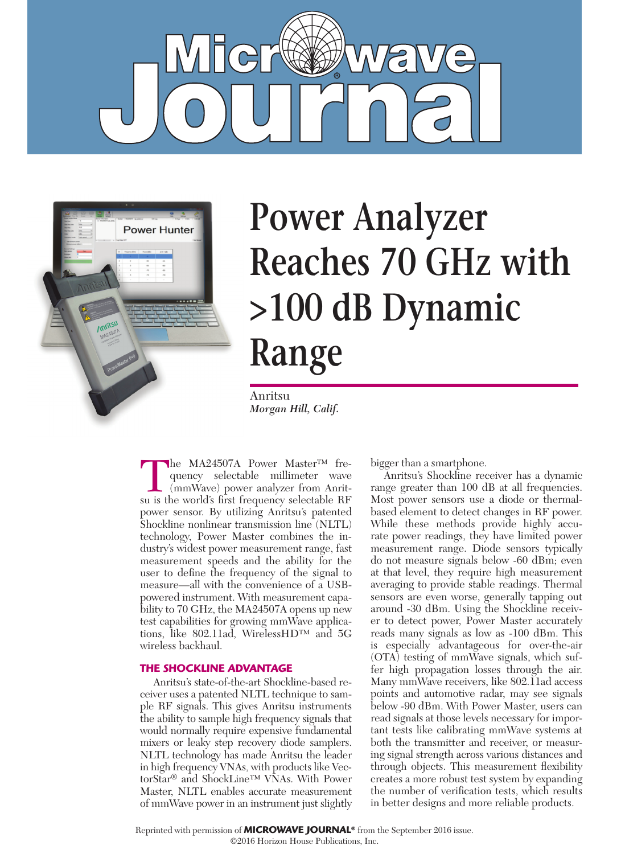



## **Power Analyzer Reaches 70 GHz with >100 dB Dynamic Range**

Anritsu *Morgan Hill, Calif.*

The MA24507A Power Master™ frequency selectable millimeter wave<br>(mmWave) power analyzer from Anrit-<br>su is the world's first frequency selectable BF quency selectable millimeter wave (mmWave) power analyzer from Anritsu is the world's first frequency selectable RF power sensor. By utilizing Anritsu's patented Shockline nonlinear transmission line (NLTL) technology, Power Master combines the industry's widest power measurement range, fast measurement speeds and the ability for the user to define the frequency of the signal to measure—all with the convenience of a USBpowered instrument. With measurement capability to 70 GHz, the MA24507A opens up new test capabilities for growing mmWave applications, like 802.11ad, WirelessHD™ and 5G wireless backhaul.

## **THE SHOCKLINE ADVANTAGE**

Anritsu's state-of-the-art Shockline-based receiver uses a patented NLTL technique to sample RF signals. This gives Anritsu instruments the ability to sample high frequency signals that would normally require expensive fundamental mixers or leaky step recovery diode samplers. NLTL technology has made Anritsu the leader in high frequency VNAs, with products like VectorStar<sup>®</sup> and ShockLine™ VNAs. With Power Master, NLTL enables accurate measurement of mmWave power in an instrument just slightly bigger than a smartphone.

Anritsu's Shockline receiver has a dynamic range greater than 100 dB at all frequencies. Most power sensors use a diode or thermalbased element to detect changes in RF power. While these methods provide highly accurate power readings, they have limited power measurement range. Diode sensors typically do not measure signals below -60 dBm; even at that level, they require high measurement averaging to provide stable readings. Thermal sensors are even worse, generally tapping out around -30 dBm. Using the Shockline receiver to detect power, Power Master accurately reads many signals as low as -100 dBm. This is especially advantageous for over-the-air (OTA) testing of mmWave signals, which suffer high propagation losses through the air. Many mmWave receivers, like 802.11ad access points and automotive radar, may see signals below -90 dBm. With Power Master, users can read signals at those levels necessary for important tests like calibrating mmWave systems at both the transmitter and receiver, or measuring signal strength across various distances and through objects. This measurement flexibility creates a more robust test system by expanding the number of verification tests, which results in better designs and more reliable products.

Reprinted with permission of **MICROWAVE JOURNAL®** from the September 2016 issue.

<sup>©2016</sup> Horizon House Publications, Inc.